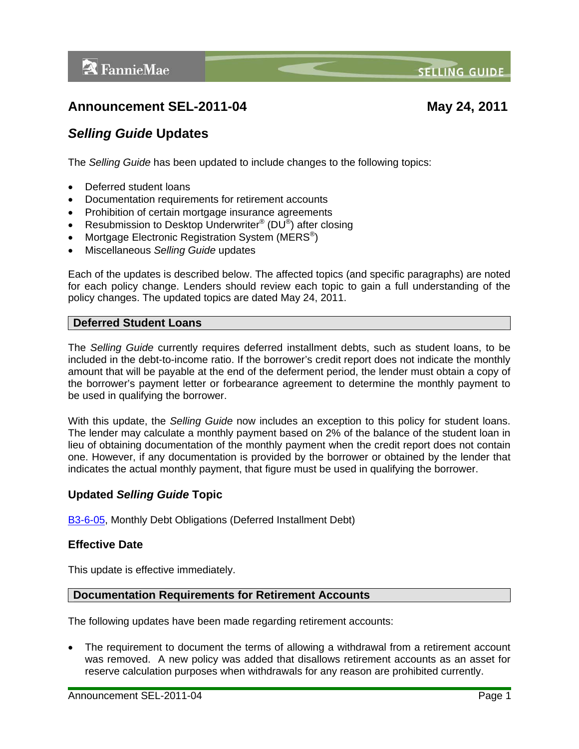**SELLING GUIDE** 

# **Announcement SEL-2011-04 May 24, 2011**

# *Selling Guide* **Updates**

The *Selling Guide* has been updated to include changes to the following topics:

- Deferred student loans
- Documentation requirements for retirement accounts
- Prohibition of certain mortgage insurance agreements
- Resubmission to Desktop Underwriter<sup>®</sup> (DU<sup>®</sup>) after closing
- Mortgage Electronic Registration System (MERS<sup>®</sup>)
- Miscellaneous *Selling Guide* updates

Each of the updates is described below. The affected topics (and specific paragraphs) are noted for each policy change. Lenders should review each topic to gain a full understanding of the policy changes. The updated topics are dated May 24, 2011.

#### **Deferred Student Loans**

The *Selling Guide* currently requires deferred installment debts, such as student loans, to be included in the debt-to-income ratio. If the borrower's credit report does not indicate the monthly amount that will be payable at the end of the deferment period, the lender must obtain a copy of the borrower's payment letter or forbearance agreement to determine the monthly payment to be used in qualifying the borrower.

With this update, the *Selling Guide* now includes an exception to this policy for student loans. The lender may calculate a monthly payment based on 2% of the balance of the student loan in lieu of obtaining documentation of the monthly payment when the credit report does not contain one. However, if any documentation is provided by the borrower or obtained by the lender that indicates the actual monthly payment, that figure must be used in qualifying the borrower.

## **Updated** *Selling Guide* **Topic**

[B3-6-05](https://www.efanniemae.com/sf/guides/ssg/sg/pdf/sel052411.pdf#page=496), Monthly Debt Obligations (Deferred Installment Debt)

#### **Effective Date**

This update is effective immediately.

#### **Documentation Requirements for Retirement Accounts**

The following updates have been made regarding retirement accounts:

 The requirement to document the terms of allowing a withdrawal from a retirement account was removed. A new policy was added that disallows retirement accounts as an asset for reserve calculation purposes when withdrawals for any reason are prohibited currently.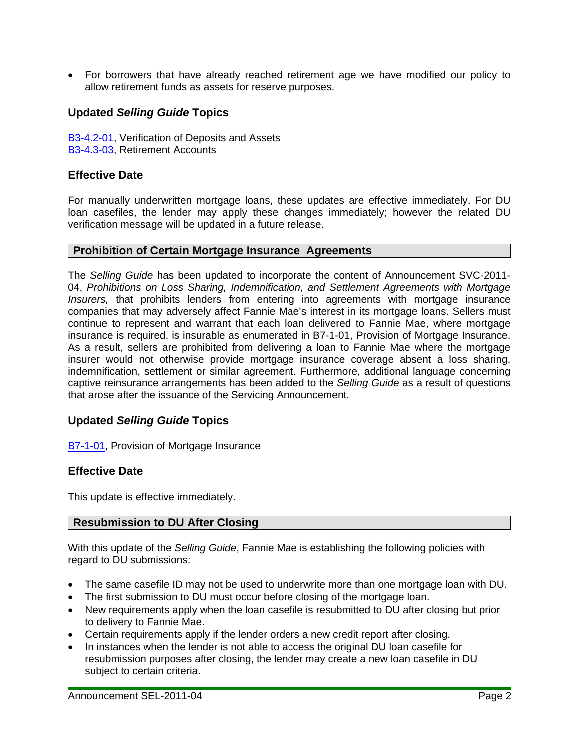For borrowers that have already reached retirement age we have modified our policy to allow retirement funds as assets for reserve purposes.

## **Updated** *Selling Guide* **Topics**

[B3-4.2-01](https://www.efanniemae.com/sf/guides/ssg/sg/pdf/sel052411.pdf#page=402), Verification of Deposits and Assets [B3-4.3-03](https://www.efanniemae.com/sf/guides/ssg/sg/pdf/sel052411.pdf#page=411), Retirement Accounts

#### **Effective Date**

For manually underwritten mortgage loans, these updates are effective immediately. For DU loan casefiles, the lender may apply these changes immediately; however the related DU verification message will be updated in a future release.

#### **Prohibition of Certain Mortgage Insurance Agreements**

The *Selling Guide* has been updated to incorporate the content of Announcement SVC-2011- 04, *Prohibitions on Loss Sharing, Indemnification, and Settlement Agreements with Mortgage Insurers,* that prohibits lenders from entering into agreements with mortgage insurance companies that may adversely affect Fannie Mae's interest in its mortgage loans. Sellers must continue to represent and warrant that each loan delivered to Fannie Mae, where mortgage insurance is required, is insurable as enumerated in B7-1-01, Provision of Mortgage Insurance. As a result, sellers are prohibited from delivering a loan to Fannie Mae where the mortgage insurer would not otherwise provide mortgage insurance coverage absent a loss sharing, indemnification, settlement or similar agreement. Furthermore, additional language concerning captive reinsurance arrangements has been added to the *Selling Guide* as a result of questions that arose after the issuance of the Servicing Announcement.

#### **Updated** *Selling Guide* **Topics**

[B7-1-01](https://www.efanniemae.com/sf/guides/ssg/sg/pdf/sel052411.pdf#page=866), Provision of Mortgage Insurance

#### **Effective Date**

This update is effective immediately.

#### **Resubmission to DU After Closing**

With this update of the *Selling Guide*, Fannie Mae is establishing the following policies with regard to DU submissions:

- The same casefile ID may not be used to underwrite more than one mortgage loan with DU.
- The first submission to DU must occur before closing of the mortgage loan.
- New requirements apply when the loan casefile is resubmitted to DU after closing but prior to delivery to Fannie Mae.
- Certain requirements apply if the lender orders a new credit report after closing.
- In instances when the lender is not able to access the original DU loan casefile for resubmission purposes after closing, the lender may create a new loan casefile in DU subject to certain criteria.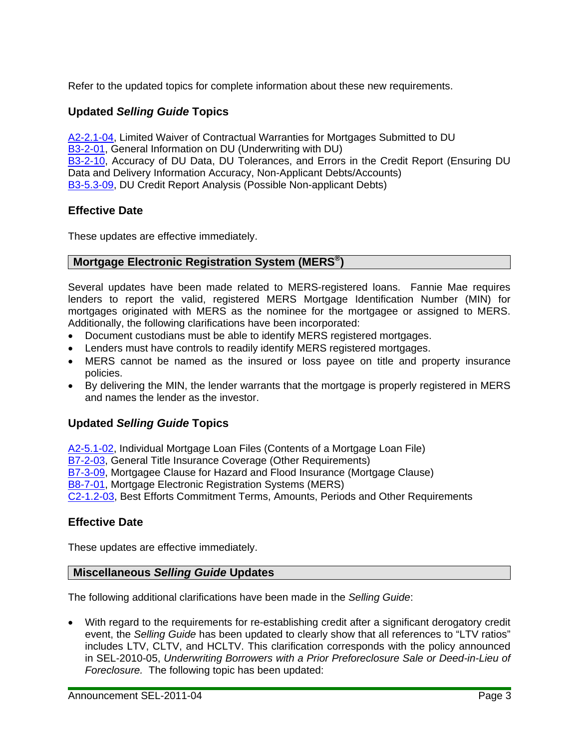Refer to the updated topics for complete information about these new requirements.

# **Updated** *Selling Guide* **Topics**

[A2-2.1-04](https://www.efanniemae.com/sf/guides/ssg/sg/pdf/sel052411.pdf#page=53), Limited Waiver of Contractual Warranties for Mortgages Submitted to DU [B3-2-01](https://www.efanniemae.com/sf/guides/ssg/sg/pdf/sel052411.pdf#page=281), General Information on DU (Underwriting with DU) [B3-2-10](https://www.efanniemae.com/sf/guides/ssg/sg/pdf/sel052411.pdf#page=300), Accuracy of DU Data, DU Tolerances, and Errors in the Credit Report (Ensuring DU Data and Delivery Information Accuracy, Non-Applicant Debts/Accounts) [B3-5.3-09](https://www.efanniemae.com/sf/guides/ssg/sg/pdf/sel052411.pdf#page=470), DU Credit Report Analysis (Possible Non-applicant Debts)

#### **Effective Date**

These updates are effective immediately.

## **Mortgage Electronic Registration System (MERS®)**

Several updates have been made related to MERS-registered loans. Fannie Mae requires lenders to report the valid, registered MERS Mortgage Identification Number (MIN) for mortgages originated with MERS as the nominee for the mortgagee or assigned to MERS. Additionally, the following clarifications have been incorporated:

- Document custodians must be able to identify MERS registered mortgages.
- Lenders must have controls to readily identify MERS registered mortgages.
- MERS cannot be named as the insured or loss payee on title and property insurance policies.
- By delivering the MIN, the lender warrants that the mortgage is properly registered in MERS and names the lender as the investor.

## **Updated** *Selling Guide* **Topics**

[A2-5.1-02](https://www.efanniemae.com/sf/guides/ssg/sg/pdf/sel052411.pdf#page=82), Individual Mortgage Loan Files (Contents of a Mortgage Loan File) [B7-2-03](https://www.efanniemae.com/sf/guides/ssg/sg/pdf/sel052411.pdf#page=882), General Title Insurance Coverage (Other Requirements) [B7-3-09](https://www.efanniemae.com/sf/guides/ssg/sg/pdf/sel052411.pdf#page=916), Mortgagee Clause for Hazard and Flood Insurance (Mortgage Clause) [B8-7-01](https://www.efanniemae.com/sf/guides/ssg/sg/pdf/sel052411.pdf#page=961), Mortgage Electronic Registration Systems (MERS) [C2-1.2-03,](https://www.efanniemae.com/sf/guides/ssg/sg/pdf/sel052411.pdf#page=1007) Best Efforts Commitment Terms, Amounts, Periods and Other Requirements

#### **Effective Date**

These updates are effective immediately.

#### **Miscellaneous** *Selling Guide* **Updates**

The following additional clarifications have been made in the *Selling Guide*:

 With regard to the requirements for re-establishing credit after a significant derogatory credit event, the *Selling Guide* has been updated to clearly show that all references to "LTV ratios" includes LTV, CLTV, and HCLTV. This clarification corresponds with the policy announced in SEL-2010-05, *Underwriting Borrowers with a Prior Preforeclosure Sale or Deed-in-Lieu of Foreclosure.* The following topic has been updated: